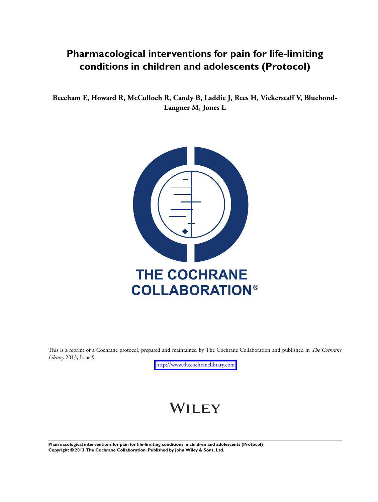## **Pharmacological interventions for pain for life-limiting conditions in children and adolescents (Protocol)**

**Beecham E, Howard R, McCulloch R, Candy B, Laddie J, Rees H, Vickerstaff V, Bluebond-Langner M, Jones L**



This is a reprint of a Cochrane protocol, prepared and maintained by The Cochrane Collaboration and published in *The Cochrane Library* 2013, Issue 9

<http://www.thecochranelibrary.com>

# WILEY

**Pharmacological interventions for pain for life-limiting conditions in children and adolescents (Protocol) Copyright © 2013 The Cochrane Collaboration. Published by John Wiley & Sons, Ltd.**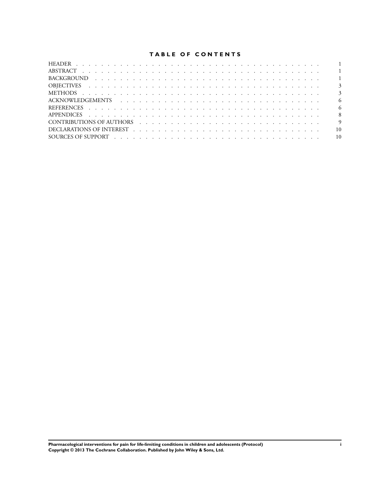## **TABLE OF CONTENTS**

| - 6            |
|----------------|
| - 6            |
| $\overline{8}$ |
|                |
|                |
|                |

**Pharmacological interventions for pain for life-limiting conditions in children and adolescents (Protocol) i Copyright © 2013 The Cochrane Collaboration. Published by John Wiley & Sons, Ltd.**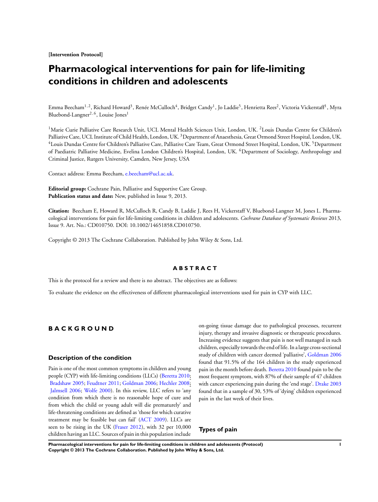<span id="page-2-0"></span>**[Intervention Protocol]**

## **Pharmacological interventions for pain for life-limiting conditions in children and adolescents**

Emma Beecham<sup>1,2</sup>, Richard Howard<sup>3</sup>, Renée McCulloch<sup>4</sup>, Bridget Candy<sup>1</sup>, Jo Laddie<sup>5</sup>, Henrietta Rees<sup>2</sup>, Victoria Vickerstaff<sup>1</sup>, Myra Bluebond-Langner<sup>2,6</sup>, Louise Jones<sup>1</sup>

<sup>1</sup> Marie Curie Palliative Care Research Unit, UCL Mental Health Sciences Unit, London, UK. <sup>2</sup>Louis Dundas Centre for Children's Palliative Care, UCL Institute of Child Health, London, UK. <sup>3</sup>Department of Anaesthesia, Great Ormond Street Hospital, London, UK. <sup>4</sup>Louis Dundas Centre for Children's Palliative Care, Palliative Care Team, Great Ormond Street Hospital, London, UK. <sup>5</sup>Department of Paediatric Palliative Medicine, Evelina London Children's Hospital, London, UK. <sup>6</sup>Department of Sociology, Anthropology and Criminal Justice, Rutgers University, Camden, New Jersey, USA

Contact address: Emma Beecham, [e.beecham@ucl.ac.uk.](mailto:e.beecham@ucl.ac.uk)

**Editorial group:** Cochrane Pain, Palliative and Supportive Care Group. **Publication status and date:** New, published in Issue 9, 2013.

**Citation:** Beecham E, Howard R, McCulloch R, Candy B, Laddie J, Rees H, Vickerstaff V, Bluebond-Langner M, Jones L. Pharmacological interventions for pain for life-limiting conditions in children and adolescents. *Cochrane Database of Systematic Reviews* 2013, Issue 9. Art. No.: CD010750. DOI: 10.1002/14651858.CD010750.

Copyright © 2013 The Cochrane Collaboration. Published by John Wiley & Sons, Ltd.

## **A B S T R A C T**

This is the protocol for a review and there is no abstract. The objectives are as follows:

To evaluate the evidence on the effectiveness of different pharmacological interventions used for pain in CYP with LLC.

## **B A C K G R O U N D**

## **Description of the condition**

Pain is one of the most common symptoms in children and young people (CYP) with life-limiting conditions (LLCs) [\(Beretta 2010;](#page-7-0) [Bradshaw 2005](#page-7-0); [Feudtner 2011](#page-7-0); [Goldman 2006](#page-7-0); [Hechler 2008;](#page-7-0) [Jalmsell 2006](#page-7-0); [Wolfe 2000](#page-7-0)). In this review, LLC refers to 'any condition from which there is no reasonable hope of cure and from which the child or young adult will die prematurely' and life-threatening conditions are defined as 'those for which curative treatment may be feasible but can fail' [\(ACT 2009](#page-7-0)). LLCs are seen to be rising in the UK [\(Fraser 2012\)](#page-7-0), with 32 per 10,000 children having an LLC. Sources of pain in this population include

on-going tissue damage due to pathological processes, recurrent injury, therapy and invasive diagnostic or therapeutic procedures. Increasing evidence suggests that pain is not well managed in such children, especially towards the end of life. In a large cross-sectional study of children with cancer deemed 'palliative', [Goldman 2006](#page-7-0) found that 91.5% of the 164 children in the study experienced pain in the month before death. [Beretta 2010](#page-7-0) found pain to be the most frequent symptom, with 87% of their sample of 47 children with cancer experiencing pain during the 'end stage'. [Drake 2003](#page-7-0) found that in a sample of 30, 53% of 'dying' children experienced pain in the last week of their lives.

## **Types of pain**

**Pharmacological interventions for pain for life-limiting conditions in children and adolescents (Protocol) 1 Copyright © 2013 The Cochrane Collaboration. Published by John Wiley & Sons, Ltd.**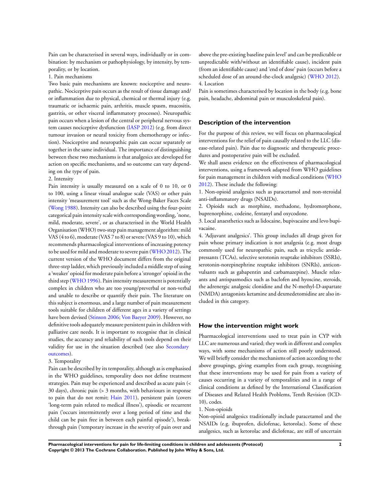Pain can be characterised in several ways, individually or in combination: by mechanism or pathophysiology, by intensity, by temporality, or by location.

1. Pain mechanisms

Two basic pain mechanisms are known: nociceptive and neuropathic. Nociceptive pain occurs as the result of tissue damage and/ or inflammation due to physical, chemical or thermal injury (e.g. traumatic or ischaemic pain, arthritis, muscle spasm, mucositis, gastritis, or other visceral inflammatory processes). Neuropathic pain occurs when a lesion of the central or peripheral nervous system causes nociceptive dysfunction [\(IASP 2012](#page-7-0)) (e.g. from direct tumour invasion or neural toxicity from chemotherapy or infection). Nociceptive and neuropathic pain can occur separately or together in the same individual. The importance of distinguishing between these two mechanisms is that analgesics are developed for action on specific mechanisms, and so outcome can vary depending on the type of pain.

## 2. Intensity

Pain intensity is usually measured on a scale of 0 to 10, or 0 to 100, using a linear visual analogue scale (VAS) or other pain intensity 'measurement tool' such as the Wong-Baker Faces Scale [\(Wong 1988\)](#page-7-0). Intensity can also be described using the four-point categorical pain intensity scale with corresponding wording, 'none, mild, moderate, severe', or as characterised in the World Health Organisation (WHO) two-step pain management algorithm: mild VAS (4 to 6), moderate (VAS 7 to 8) or severe (VAS 9 to 10), which recommends pharmacological interventions of increasing potency to be used for mild and moderate to severe pain [\(WHO 2012\)](#page-7-0). The current version of the WHO document differs from the original three-step ladder, which previously included a middle step of using a 'weaker' opioid for moderate pain before a 'stronger' opioid in the third step ([WHO 1996](#page-7-0)). Pain intensity measurement is potentially complex in children who are too young/preverbal or non-verbal and unable to describe or quantify their pain. The literature on this subject is enormous, and a large number of pain measurement tools suitable for children of different ages in a variety of settings have been devised ([Stinson 2006;](#page-7-0) [Von Baeyer 2009](#page-7-0)). However, no definitive tools adequately measure persistent pain in children with palliative care needs. It is important to recognise that in clinical studies, the accuracy and reliability of such tools depend on their validity for use in the situation described (see also [Secondary](#page-2-0) [outcomes](#page-2-0)).

## 3. Temporality

Pain can be described by its temporality, although as is emphasised in the WHO guidelines, temporality does not define treatment strategies. Pain may be experienced and described as acute pain (< 30 days), chronic pain (> 3 months, with behaviours in response to pain that do not remit; [Hain 2011\)](#page-7-0), persistent pain (covers 'long-term pain related to medical illness'), episodic or recurrent pain ('occurs intermittently over a long period of time and the child can be pain free in between each painful episode'), breakthrough pain ('temporary increase in the severity of pain over and

above the pre-existing baseline pain level' and can be predictable or unpredictable with/without an identifiable cause), incident pain (from an identifiable cause) and 'end of dose' pain (occurs before a scheduled dose of an around-the-clock analgesic) ([WHO 2012](#page-7-0)). 4. Location

Pain is sometimes characterised by location in the body (e.g. bone pain, headache, abdominal pain or musculoskeletal pain).

## **Description of the intervention**

For the purpose of this review, we will focus on pharmacological interventions for the relief of pain causally related to the LLC (disease-related pain). Pain due to diagnostic and therapeutic procedures and postoperative pain will be excluded.

We shall assess evidence on the effectiveness of pharmacological interventions, using a framework adapted from WHO guidelines for pain management in children with medical conditions [\(WHO](#page-7-0) [2012](#page-7-0)). These include the following:

1. Non-opioid analgesics such as paracetamol and non-steroidal anti-inflammatory drugs (NSAIDs).

2. Opioids such as morphine, methadone, hydromorphone, buprenorphine, codeine, fentanyl and oxycodone.

3. Local anaesthetics such as lidocaine, bupivacaine and levo bupivacaine.

4. 'Adjuvant analgesics'. This group includes all drugs given for pain whose primary indication is not analgesia (e.g. most drugs commonly used for neuropathic pain, such as tricyclic antidepressants (TCAs), selective serotonin reuptake inhibitors (SSRIs), serotonin-norepinephrine reuptake inhibitors (SNRIs), anticonvulsants such as gabapentin and carbamazepine). Muscle relaxants and antispasmodics such as baclofen and hyoscine, steroids, the adrenergic analgesic clonidine and the N-methyl-D-aspartate (NMDA) antagonists ketamine and dexmedetomidine are also included in this category.

#### **How the intervention might work**

Pharmacological interventions used to treat pain in CYP with LLC are numerous and varied; they work in different and complex ways, with some mechanisms of action still poorly understood. We will briefly consider the mechanisms of action according to the above groupings, giving examples from each group, recognising that these interventions may be used for pain from a variety of causes occurring in a variety of temporalities and in a range of clinical conditions as defined by the International Classification of Diseases and Related Health Problems, Tenth Revision (ICD-10), codes.

1. Non-opioids

Non-opioid analgesics traditionally include paracetamol and the NSAIDs (e.g. ibuprofen, diclofenac, ketorolac). Some of these analgesics, such as ketorolac and diclofenac, are still of uncertain

**Pharmacological interventions for pain for life-limiting conditions in children and adolescents (Protocol) 2 Copyright © 2013 The Cochrane Collaboration. Published by John Wiley & Sons, Ltd.**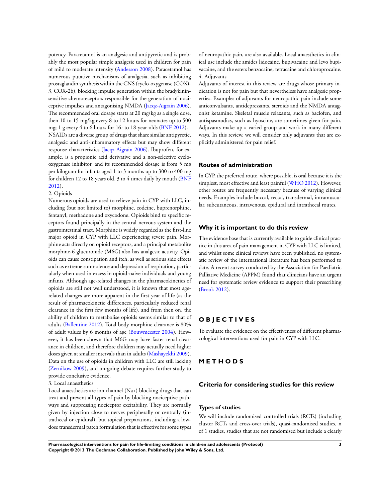potency. Paracetamol is an analgesic and antipyretic and is probably the most popular simple analgesic used in children for pain of mild to moderate intensity [\(Anderson 2008\)](#page-7-0). Paracetamol has numerous putative mechanisms of analgesia, such as inhibiting prostaglandin synthesis within the CNS (cyclo-oxygenase (COX)- 3, COX-2b), blocking impulse generation within the bradykininsensitive chemoreceptors responsible for the generation of nociceptive impulses and antagonising NMDA [\(Jacqz-Aigrain 2006](#page-7-0)). The recommended oral dosage starts at 20 mg/kg as a single dose, then 10 to 15 mg/kg every 8 to 12 hours for neonates up to 500 mg; 1 g every 4 to 6 hours for 16- to 18-year-olds ([BNF 2012](#page-7-0)). NSAIDs are a diverse group of drugs that share similar antipyretic, analgesic and anti-inflammatory effects but may show different response characteristics ([Jacqz-Aigrain 2006\)](#page-7-0). Ibuprofen, for example, is a propionic acid derivative and a non-selective cyclooxygenase inhibitor, and its recommended dosage is from 5 mg per kilogram for infants aged 1 to 3 months up to 300 to 400 mg for children 12 to 18 years old, 3 to 4 times daily by mouth ([BNF](#page-7-0) [2012](#page-7-0)).

## 2. Opioids

Numerous opioids are used to relieve pain in CYP with LLC, including (but not limited to) morphine, codeine, buprenorphine, fentanyl, methadone and oxycodone. Opioids bind to specific receptors found principally in the central nervous system and the gastrointestinal tract. Morphine is widely regarded as the first-line major opioid in CYP with LLC experiencing severe pain. Morphine acts directly on opioid receptors, and a principal metabolite morphine-6-glucuronide (M6G) also has analgesic activity. Opioids can cause constipation and itch, as well as serious side effects such as extreme somnolence and depression of respiration, particularly when used in excess in opioid-naive individuals and young infants. Although age-related changes in the pharmacokinetics of opioids are still not well understood, it is known that most agerelated changes are more apparent in the first year of life (as the result of pharmacokinetic differences, particularly reduced renal clearance in the first few months of life), and from then on, the ability of children to metabolise opioids seems similar to that of adults [\(Ballentine 2012\)](#page-7-0). Total body morphine clearance is 80% of adult values by 6 months of age [\(Bouwmeester 2004](#page-7-0)). However, it has been shown that M6G may have faster renal clearance in children, and therefore children may actually need higher doses given at smaller intervals than in adults [\(Mashayekhi 2009](#page-7-0)). Data on the use of opioids in children with LLC are still lacking [\(Zernikow 2009\)](#page-7-0), and on-going debate requires further study to provide conclusive evidence.

3. Local anaesthetics

Local anaesthetics are ion channel (Na+) blocking drugs that can treat and prevent all types of pain by blocking nociceptive pathways and suppressing nociceptor excitability. They are normally given by injection close to nerves peripherally or centrally (intrathecal or epidural), but topical preparations, including a lowdose transdermal patch formulation that is effective for some types

of neuropathic pain, are also available. Local anaesthetics in clinical use include the amides lidocaine, bupivacaine and levo bupivacaine, and the esters benzocaine, tetracaine and chloroprocaine. 4. Adjuvants

Adjuvants of interest in this review are drugs whose primary indication is not for pain but that nevertheless have analgesic properties. Examples of adjuvants for neuropathic pain include some anticonvulsants, antidepressants, steroids and the NMDA antagonist ketamine. Skeletal muscle relaxants, such as baclofen, and antispasmodics, such as hyoscine, are sometimes given for pain. Adjuvants make up a varied group and work in many different ways. In this review, we will consider only adjuvants that are explicitly administered for pain relief.

## **Routes of administration**

In CYP, the preferred route, where possible, is oral because it is the simplest, most effective and least painful ([WHO 2012](#page-7-0)). However, other routes are frequently necessary because of varying clinical needs. Examples include buccal, rectal, transdermal, intramuscular, subcutaneous, intravenous, epidural and intrathecal routes.

## **Why it is important to do this review**

The evidence base that is currently available to guide clinical practice in this area of pain management in CYP with LLC is limited, and whilst some clinical reviews have been published, no systematic review of the international literature has been performed to date. A recent survey conducted by the Association for Paediatric Palliative Medicine (APPM) found that clinicians have an urgent need for systematic review evidence to support their prescribing [\(Brook 2012\)](#page-7-0).

## **O B J E C T I V E S**

To evaluate the evidence on the effectiveness of different pharmacological interventions used for pain in CYP with LLC.

## **M E T H O D S**

## **Criteria for considering studies for this review**

## **Types of studies**

We will include randomised controlled trials (RCTs) (including cluster RCTs and cross-over trials), quasi-randomised studies, n of 1 studies, studies that are not randomised but include a clearly

**Pharmacological interventions for pain for life-limiting conditions in children and adolescents (Protocol) 3 Copyright © 2013 The Cochrane Collaboration. Published by John Wiley & Sons, Ltd.**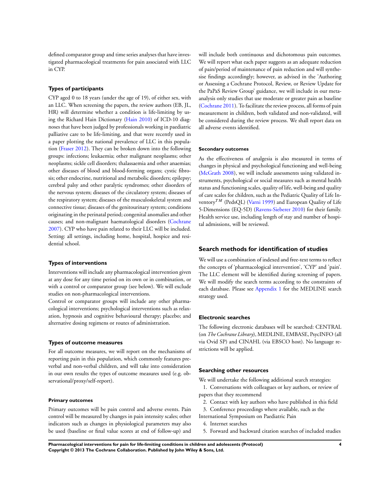defined comparator group and time series analyses that have investigated pharmacological treatments for pain associated with LLC in CYP.

## **Types of participants**

CYP aged 0 to 18 years (under the age of 19), of either sex, with an LLC. When screening the papers, the review authors (EB, JL, HR) will determine whether a condition is life-limiting by using the Richard Hain Dictionary [\(Hain 2010](#page-7-0)) of ICD-10 diagnoses that have been judged by professionals working in paediatric palliative care to be life-limiting, and that were recently used in a paper plotting the national prevalence of LLC in this population ([Fraser 2012\)](#page-7-0). They can be broken down into the following groups: infections; leukaemia; other malignant neoplasms; other neoplasms; sickle cell disorders; thalassaemia and other anaemias; other diseases of blood and blood-forming organs; cystic fibrosis; other endocrine, nutritional and metabolic disorders; epilepsy; cerebral palsy and other paralytic syndromes; other disorders of the nervous system; diseases of the circulatory system; diseases of the respiratory system; diseases of the musculoskeletal system and connective tissue; diseases of the genitourinary system; conditions originating in the perinatal period; congenital anomalies and other causes; and non-malignant haematological disorders [\(Cochrane](#page-7-0) [2007](#page-7-0)). CYP who have pain related to their LLC will be included. Setting: all settings, including home, hospital, hospice and residential school.

### **Types of interventions**

Interventions will include any pharmacological intervention given at any dose for any time period on its own or in combination, or with a control or comparator group (see below). We will exclude studies on non-pharmacological interventions.

Control or comparator groups will include any other pharmacological interventions; psychological interventions such as relaxation, hypnosis and cognitive behavioural therapy; placebo; and alternative dosing regimens or routes of administration.

### **Types of outcome measures**

For all outcome measures, we will report on the mechanisms of reporting pain in this population, which commonly features preverbal and non-verbal children, and will take into consideration in our own results the types of outcome measures used (e.g. observational/proxy/self-report).

## **Primary outcomes**

Primary outcomes will be pain control and adverse events. Pain control will be measured by changes in pain intensity scales; other indicators such as changes in physiological parameters may also be used (baseline or final value scores at end of follow-up) and

will include both continuous and dichotomous pain outcomes. We will report what each paper suggests as an adequate reduction of pain/period of maintenance of pain reduction and will synthesise findings accordingly; however, as advised in the 'Authoring or Assessing a Cochrane Protocol, Review, or Review Update for the PaPaS Review Group' guidance, we will include in our metaanalysis only studies that use moderate or greater pain as baseline [\(Cochrane 2011](#page-7-0)). To facilitate the review process, all forms of pain measurement in children, both validated and non-validated, will be considered during the review process. We shall report data on all adverse events identified.

## **Secondary outcomes**

As the effectiveness of analgesia is also measured in terms of changes in physical and psychological functioning and well-being [\(McGrath 2008\)](#page-7-0), we will include assessments using validated instruments, psychological or social measures such as mental health status and functioning scales, quality of life, well-being and quality of care scales for children, such as the Pediatric Quality of Life In-ventory<sup>TM</sup> (PedsQL) ([Varni 1999\)](#page-7-0) and European Quality of Life 5-Dimensions (EQ-5D) ([Ravens-Sieberer 2010](#page-7-0)) for their family. Health service use, including length of stay and number of hospital admissions, will be reviewed.

## **Search methods for identification of studies**

We will use a combination of indexed and free-text terms to reflect the concepts of 'pharmacological intervention', 'CYP' and 'pain'. The LLC element will be identified during screening of papers. We will modify the search terms according to the constraints of each database. Please see [Appendix 1](#page-9-0) for the MEDLINE search strategy used.

## **Electronic searches**

The following electronic databases will be searched: CENTRAL (on *The Cochrane Library*), MEDLINE, EMBASE, PsycINFO (all via Ovid SP) and CINAHL (via EBSCO host). No language restrictions will be applied.

## **Searching other resources**

We will undertake the following additional search strategies:

- 1. Conversations with colleagues or key authors, or review of papers that they recommend
	- 2. Contact with key authors who have published in this field
	- 3. Conference proceedings where available, such as the
- International Symposium on Paediatric Pain
	- 4. Internet searches
- 5. Forward and backward citation searches of included studies

**Pharmacological interventions for pain for life-limiting conditions in children and adolescents (Protocol) 4 Copyright © 2013 The Cochrane Collaboration. Published by John Wiley & Sons, Ltd.**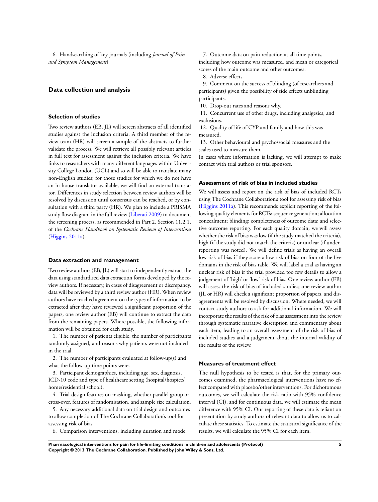6. Handsearching of key journals (including *Journal of Pain and Symptom Management*)

## **Data collection and analysis**

## **Selection of studies**

Two review authors (EB, JL) will screen abstracts of all identified studies against the inclusion criteria. A third member of the review team (HR) will screen a sample of the abstracts to further validate the process. We will retrieve all possibly relevant articles in full text for assessment against the inclusion criteria. We have links to researchers with many different languages within University College London (UCL) and so will be able to translate many non-English studies; for those studies for which we do not have an in-house translator available, we will find an external translator. Differences in study selection between review authors will be resolved by discussion until consensus can be reached, or by consultation with a third party (HR). We plan to include a PRISMA study flow diagram in the full review [\(Liberati 2009](#page-7-0)) to document the screening process, as recommended in Part 2, Section 11.2.1, of the *Cochrane Handbook on Systematic Reviews of Interventions* [\(Higgins 2011a](#page-7-0)).

#### **Data extraction and management**

Two review authors (EB, JL) will start to independently extract the data using standardised data extraction forms developed by the review authors. If necessary, in cases of disagreement or discrepancy, data will be reviewed by a third review author (HR). When review authors have reached agreement on the types of information to be extracted after they have reviewed a significant proportion of the papers, one review author (EB) will continue to extract the data from the remaining papers. Where possible, the following information will be obtained for each study.

1. The number of patients eligible, the number of participants randomly assigned, and reasons why patients were not included in the trial.

2. The number of participants evaluated at follow-up(s) and what the follow-up time points were.

3. Participant demographics, including age, sex, diagnosis, ICD-10 code and type of healthcare setting (hospital/hospice/ home/residential school).

4. Trial design features on masking, whether parallel group or cross-over, features of randomisation, and sample size calculation.

5. Any necessary additional data on trial design and outcomes to allow completion of The Cochrane Collaboration's tool for assessing risk of bias.

6. Comparison interventions, including duration and mode.

7. Outcome data on pain reduction at all time points, including how outcome was measured, and mean or categorical scores of the main outcome and other outcomes.

8. Adverse effects.

9. Comment on the success of blinding (of researchers and participants) given the possibility of side effects unblinding participants.

10. Drop-out rates and reasons why.

11. Concurrent use of other drugs, including analgesics, and exclusions.

12. Quality of life of CYP and family and how this was measured.

13. Other behavioural and psycho/social measures and the scales used to measure them.

In cases where information is lacking, we will attempt to make contact with trial authors or trial sponsors.

## **Assessment of risk of bias in included studies**

We will assess and report on the risk of bias of included RCTs using The Cochrane Collaboration's tool for assessing risk of bias [\(Higgins 2011a\)](#page-7-0). This recommends explicit reporting of the following quality elements for RCTs: sequence generation; allocation concealment; blinding; completeness of outcome data; and selective outcome reporting. For each quality domain, we will assess whether the risk of bias was low (if the study matched the criteria), high (if the study did not match the criteria) or unclear (if underreporting was noted). We will define trials as having an overall low risk of bias if they score a low risk of bias on four of the five domains in the risk of bias table. We will label a trial as having an unclear risk of bias if the trial provided too few details to allow a judgement of 'high' or 'low' risk of bias. One review author (EB) will assess the risk of bias of included studies; one review author (JL or HR) will check a significant proportion of papers, and disagreements will be resolved by discussion. Where needed, we will contact study authors to ask for additional information. We will incorporate the results of the risk of bias assessment into the review through systematic narrative description and commentary about each item, leading to an overall assessment of the risk of bias of included studies and a judgement about the internal validity of the results of the review.

## **Measures of treatment effect**

The null hypothesis to be tested is that, for the primary outcomes examined, the pharmacological interventions have no effect compared with placebo/other interventions. For dichotomous outcomes, we will calculate the risk ratio with 95% confidence interval (CI), and for continuous data, we will estimate the mean difference with 95% CI. Our reporting of these data is reliant on presentation by study authors of relevant data to allow us to calculate these statistics. To estimate the statistical significance of the results, we will calculate the 95% CI for each item.

**Pharmacological interventions for pain for life-limiting conditions in children and adolescents (Protocol) 5 Copyright © 2013 The Cochrane Collaboration. Published by John Wiley & Sons, Ltd.**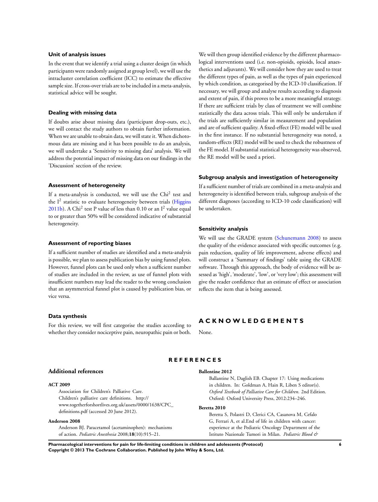## <span id="page-7-0"></span>**Unit of analysis issues**

In the event that we identify a trial using a cluster design (in which participants were randomly assigned at group level), we will use the intracluster correlation coefficient (ICC) to estimate the effective sample size. If cross-over trials are to be included in a meta-analysis, statistical advice will be sought.

## **Dealing with missing data**

If doubts arise about missing data (participant drop-outs, etc.), we will contact the study authors to obtain further information. When we are unable to obtain data, we will state it. When dichotomous data are missing and it has been possible to do an analysis, we will undertake a 'Sensitivity to missing data' analysis. We will address the potential impact of missing data on our findings in the 'Discussion' section of the review.

## **Assessment of heterogeneity**

If a meta-analysis is conducted, we will use the Chi<sup>2</sup> test and the  $I^2$  statistic to evaluate heterogeneity between trials (Higgins 2011b). A Chi<sup>2</sup> test P value of less than 0.10 or an  $I^2$  value equal to or greater than 50% will be considered indicative of substantial heterogeneity.

#### **Assessment of reporting biases**

If a sufficient number of studies are identified and a meta-analysis is possible, we plan to assess publication bias by using funnel plots. However, funnel plots can be used only when a sufficient number of studies are included in the review, as use of funnel plots with insufficient numbers may lead the reader to the wrong conclusion that an asymmetrical funnel plot is caused by publication bias, or vice versa.

#### **Data synthesis**

For this review, we will first categorise the studies according to whether they consider nociceptive pain, neuropathic pain or both.

We will then group identified evidence by the different pharmacological interventions used (i.e. non-opioids, opioids, local anaesthetics and adjuvants). We will consider how they are used to treat the different types of pain, as well as the types of pain experienced by which condition, as categorised by the ICD-10 classification. If necessary, we will group and analyse results according to diagnosis and extent of pain, if this proves to be a more meaningful strategy. If there are sufficient trials by class of treatment we will combine statistically the data across trials. This will only be undertaken if the trials are sufficiently similar in measurement and population and are of sufficient quality. A fixed-effect (FE) model will be used in the first instance. If no substantial heterogeneity was noted, a random-effects (RE) model will be used to check the robustness of the FE model. If substantial statistical heterogeneity was observed, the RE model will be used a priori.

## **Subgroup analysis and investigation of heterogeneity**

If a sufficient number of trials are combined in a meta-analysis and heterogeneity is identified between trials, subgroup analysis of the different diagnoses (according to ICD-10 code classification) will be undertaken.

## **Sensitivity analysis**

We will use the GRADE system (Schunemann 2008) to assess the quality of the evidence associated with specific outcomes (e.g. pain reduction, quality of life improvement, adverse effects) and will construct a 'Summary of findings' table using the GRADE software. Through this approach, the body of evidence will be assessed as 'high', 'moderate', 'low', or 'very low'; this assessment will give the reader confidence that an estimate of effect or association reflects the item that is being assessed.

## **A C K N O W L E D G E M E N T S**

None.

## **R E F E R E N C E S**

## **Additional references**

### **ACT 2009**

Association for Children's Palliative Care. Children's palliative care definitions. http:// www.togetherforshortlives.org.uk/assets/0000/1638/CPC\_ definitions.pdf (accessed 20 June 2012).

#### **Anderson 2008**

Anderson BJ. Paracetamol (acetaminophen): mechanisms of action. *Pediatric Anesthesia* 2008;**18**(10):915–21.

#### **Ballentine 2012**

Ballantine N, Daglish EB. Chapter 17: Using medications in children. In: Goldman A, Hain R, Liben S editor(s). *Oxford Textbook of Palliative Care for Children*. 2nd Edition. Oxford: Oxford University Press, 2012:234–246.

## **Beretta 2010**

Beretta S, Polastri D, Clerici CA, Casanova M, Cefalo G, Ferrari A, et al.End of life in children with cancer: experience at the Pediatric Oncology Department of the Istituto Nazionale Tumori in Milan. *Pediatric Blood &*

**Pharmacological interventions for pain for life-limiting conditions in children and adolescents (Protocol) 6 Copyright © 2013 The Cochrane Collaboration. Published by John Wiley & Sons, Ltd.**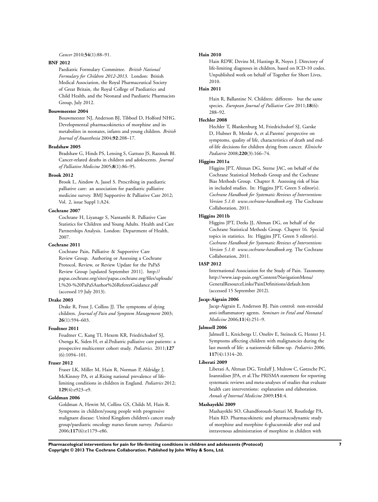*Cancer* 2010;**54**(1):88–91.

## **BNF 2012**

Paediatric Formulary Committee. *British National Formulary for Children 2012-2013*. London: British Medical Association, the Royal Pharmaceutical Society of Great Britain, the Royal College of Paediatrics and Child Health, and the Neonatal and Paediatric Pharmacists Group, July 2012.

## **Bouwmeester 2004**

Bouwmeester NJ, Anderson BJ, Tibboel D, Holford NHG. Developmental pharmacokinetics of morphine and its metabolites in neonates, infants and young children. *British Journal of Anaesthesia* 2004;**92**:208–17.

#### **Bradshaw 2005**

Bradshaw G, Hinds PS, Lensing S, Gattuso JS, Razzouk BI. Cancer-related deaths in children and adolescents. *Journal of Palliative Medicine* 2005;**8**(1):86–95.

## **Brook 2012**

Brook L, Aindow A, Jassel S. Prescribing in paediatric palliative care: an association for paediatric palliative medicine survey. BMJ Supportive & Palliative Care 2012; Vol. 2, issue Suppl 1:A24.

## **Cochrane 2007**

Cochrane H, Liyanage S, Nantambi R. Palliative Care Statistics for Children and Young Adults. Health and Care Partnerships Analysis. London: Department of Health, 2007.

## **Cochrane 2011**

Cochrane Pain, Palliative & Supportive Care Review Group. Authoring or Assessing a Cochrane Protocol, Review, or Review Update for the PaPaS Review Group [updated September 2011]. http:// papas.cochrane.org/sites/papas.cochrane.org/files/uploads/ L%20-%20PaPaSAuthor%26RefereeGuidance.pdf (accessed 19 July 2013).

#### **Drake 2003**

Drake R, Frost J, Collins JJ. The symptoms of dying children. *Journal of Pain and Symptom Management* 2003; **26**(1):594–603.

#### **Feudtner 2011**

Feudtner C, Kang TI, Hexem KR, Friedrichsdorf SJ, Osenga K, Siden H, et al.Pediatric palliative care patients: a prospective multicenter cohort study. *Pediatrics.* 2011;**127** (6):1094–101.

## **Fraser 2012**

Fraser LK, Miller M, Hain R, Norman P, Aldridge J, McKinney PA, et al.Rising national prevalence of lifelimiting conditions in children in England. *Pediatrics* 2012; **129**(4):e923–e9.

## **Goldman 2006**

Goldman A, Hewitt M, Collins GS, Childs M, Hain R. Symptoms in children/young people with progressive malignant disease: United Kingdom children's cancer study group/paediatric oncology nurses forum survey. *Pediatrics* 2006;**117**(6):e1179–e86.

#### **Hain 2010**

Hain RDW, Devins M, Hastings R, Noyes J. Directory of life-limiting diagnoses in children, based on ICD-10 codes. Unpublished work on behalf of Together for Short Lives, 2010.

## **Hain 2011**

Hain R, Ballantine N. Children: different but the same species. *European Journal of Palliative Care* 2011;**18**(6): 288–92.

## **Hechler 2008**

Hechler T, Blankenburg M, Friedrichsdorf SJ, Garske D, Hubner B, Menke A, et al.Parents' perspective on symptoms, quality of life, characteristics of death and endof-life decisions for children dying from cancer. *Klinische Padiatrie* 2008;**220**(3):166–74.

## **Higgins 2011a**

Higgins JPT, Altman DG, Sterne JAC, on behalf of the Cochrane Statistical Methods Group and the Cochrane Bias Methods Group. Chapter 8. Assessing risk of bias in included studies. In: Higgins JPT, Green S editor(s). *Cochrane Handbook for Systematic Reviews of Interventions Version 5.1.0. www.cochrane-handbook.org*. The Cochrane Collaboration, 2011.

## **Higgins 2011b**

Higgins JPT, Deeks JJ, Altman DG, on behalf of the Cochrane Statistical Methods Group. Chapter 16. Special topics in statistics. In: Higgins JPT, Green S editor(s). *Cochrane Handbook for Systematic Reviews of Interventions Version 5.1.0. www.cochrane-handbook.org*. The Cochrane Collaboration, 2011.

## **IASP 2012**

International Association for the Study of Pain. Taxonomy. http://www.iasp-pain.org/Content/NavigationMenu/ GeneralResourceLinks/PainDefinitions/default.htm (accessed 15 September 2012).

## **Jacqz-Aigrain 2006**

Jacqz-Aigrain E, Anderson BJ. Pain control: non-steroidal anti-inflammatory agents. *Seminars in Fetal and Neonatal Medicine* 2006;**11**(4):251–9.

### **Jalmsell 2006**

Jalmsell L, Kreicbergs U, Onelöv E, Steineck G, Henter J-I. Symptoms affecting children with malignancies during the last month of life: a nationwide follow-up. *Pediatrics* 2006; **117**(4):1314–20.

#### **Liberati 2009**

Liberati A, Altman DG, Tetzlaff J, Mulrow C, Gøtzsche PC, Ioannidiset JPA, et al.The PRISMA statement for reporting systematic reviews and meta-analyses of studies that evaluate health care interventions: explanation and elaboration. *Annals of Internal Medicine* 2009;**151**:4.

#### **Mashayekhi 2009**

Mashayekhi SO, Ghandforoush-Sattari M, Routledge PA, Hain RD. Pharmacokinetic and pharmacodynamic study of morphine and morphine 6-glucuronide after oral and intravenous administration of morphine in children with

**Pharmacological interventions for pain for life-limiting conditions in children and adolescents (Protocol) 7 Copyright © 2013 The Cochrane Collaboration. Published by John Wiley & Sons, Ltd.**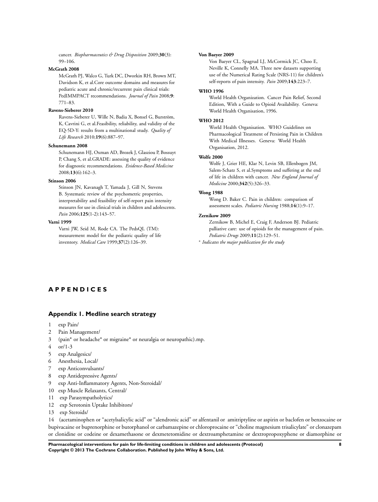<span id="page-9-0"></span>cancer. *Biopharmaceutics & Drug Disposition* 2009;**30**(3): 99–106.

## **McGrath 2008**

McGrath PJ, Walco G, Turk DC, Dworkin RH, Brown MT, Davidson K, et al.Core outcome domains and measures for pediatric acute and chronic/recurrent pain clinical trials: PedIMMPACT recommendations. *Journal of Pain* 2008;**9**: 771–83.

## **Ravens-Sieberer 2010**

Ravens-Sieberer U, Wille N, Badia X, Bonsel G, Burström, K, Cavrini G, et al.Feasibility, reliability, and validity of the EQ-5D-Y: results from a multinational study. *Quality of Life Research* 2010;**19**(6):887–97.

## **Schunemann 2008**

Schunemann HJ, Oxman AD, Brozek J, Glasziou P, Bossuyt P, Chang S, et al.GRADE: assessing the quality of evidence for diagnostic recommendations. *Evidence-Based Medicine* 2008;**13**(6):162–3.

## **Stinson 2006**

Stinson JN, Kavanagh T, Yamada J, Gill N, Stevens B. Systematic review of the psychometric properties, interpretability and feasibility of self-report pain intensity measures for use in clinical trials in children and adolescents. *Pain* 2006;**125**(1-2):143–57.

### **Varni 1999**

Varni JW, Seid M, Rode CA. The PedsQL (TM): measurement model for the pediatric quality of life inventory. *Medical Care* 1999;**37**(2):126–39.

## **Von Baeyer 2009**

Von Baeyer CL, Spagrud LJ, McCormick JC, Choo E, Neville K, Connelly MA. Three new datasets supporting use of the Numerical Rating Scale (NRS-11) for children's self-reports of pain intensity. *Pain* 2009;**143**:223–7.

## **WHO 1996**

World Health Organization. Cancer Pain Relief, Second Edition, With a Guide to Opioid Availability. Geneva: World Health Organisation, 1996.

#### **WHO 2012**

World Health Organisation. WHO Guidelines on Pharmacological Treatment of Persisting Pain in Children With Medical Illnesses. Geneva: World Health Organisation, 2012.

## **Wolfe 2000**

Wolfe J, Grier HE, Klar N, Levin SB, Ellenbogen JM, Salem-Schatz S, et al.Symptoms and suffering at the end of life in children with cancer. *New England Journal of Medicine* 2000;**342**(5):326–33.

## **Wong 1988**

Wong D. Baker C. Pain in children: comparison of assessment scales. *Pediatric Nursing* 1988;**14**(1):9–17.

#### **Zernikow 2009**

Zernikow B, Michel E, Craig F, Anderson BJ. Pediatric palliative care: use of opioids for the management of pain. *Pediatric Drugs* 2009;**11**(2):129–51.

∗ *Indicates the major publication for the study*

## **A P P E N D I C E S**

## **Appendix 1. Medline search strategy**

- exp Pain/
- 2 Pain Management/
- 3 (pain\* or headache\* or migraine\* or neuralgia or neuropathic).mp.
- 4 or/1-3
- 5 exp Analgesics/
- 6 Anesthesia, Local/
- 7 exp Anticonvulsants/
- 8 exp Antidepressive Agents/
- 9 exp Anti-Inflammatory Agents, Non-Steroidal/
- 10 exp Muscle Relaxants, Central/
- 11 exp Parasympatholytics/
- 12 exp Serotonin Uptake Inhibitors/
- 13 exp Steroids/

14 (acetaminophen or "acetylsalicylic acid" or "alendronic acid" or alfentanil or amitriptyline or aspirin or baclofen or benzocaine or bupivacaine or buprenorphine or butorphanol or carbamazepine or chloroprocaine or "choline magnesium trisalicylate" or clonazepam or clonidine or codeine or dexamethasone or dexmetetomidine or dextroamphetamine or dextropropoxyphene or diamorphine or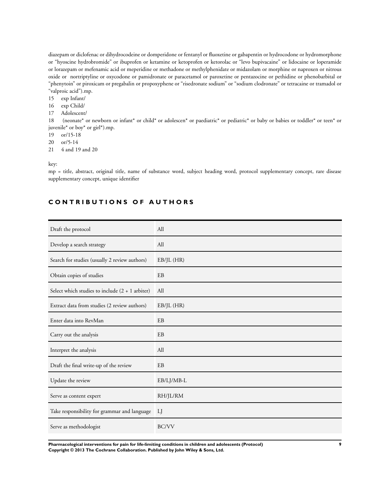diazepam or diclofenac or dihydrocodeine or domperidone or fentanyl or fluoxetine or gabapentin or hydrocodone or hydromorphone or "hyoscine hydrobromide" or ibuprofen or ketamine or ketoprofen or ketorolac or "levo bupivacaine" or lidocaine or loperamide or lorazepam or mefenamic acid or meperidine or methadone or methylphenidate or midazolam or morphine or naproxen or nitrous oxide or nortriptyline or oxycodone or pamidronate or paracetamol or paroxetine or pentazocine or pethidine or phenobarbital or "phenytoin" or piroxicam or pregabalin or propoxyphene or "risedronate sodium" or "sodium clodronate" or tetracaine or tramadol or "valproic acid").mp.

- 15 exp Infant/
- 16 exp Child/
- 17 Adolescent/

18 (neonate\* or newborn or infant\* or child\* or adolescen\* or paediatric\* or pediatric\* or baby or babies or toddler\* or teen\* or juvenile\* or boy\* or girl\*).mp.

- 19 or/15-18
- 20 or/5-14
- 21 4 and 19 and 20

## key:

mp = title, abstract, original title, name of substance word, subject heading word, protocol supplementary concept, rare disease supplementary concept, unique identifier

## **C O N T R I B U T I O N S O F A U T H O R S**

| Draft the protocol                                | All        |
|---------------------------------------------------|------------|
| Develop a search strategy                         | All        |
| Search for studies (usually 2 review authors)     | EB/JL (HR) |
| Obtain copies of studies                          | EB         |
| Select which studies to include $(2 + 1$ arbiter) | All        |
| Extract data from studies (2 review authors)      | EB/JL (HR) |
| Enter data into RevMan                            | EB         |
| Carry out the analysis                            | EB         |
| Interpret the analysis                            | All        |
| Draft the final write-up of the review            | EB         |
| Update the review                                 | EB/LJ/MB-L |
| Serve as content expert                           | RH/JL/RM   |
| Take responsibility for grammar and language      | L          |
| Serve as methodologist                            | BC/VV      |

**Pharmacological interventions for pain for life-limiting conditions in children and adolescents (Protocol) 9 Copyright © 2013 The Cochrane Collaboration. Published by John Wiley & Sons, Ltd.**